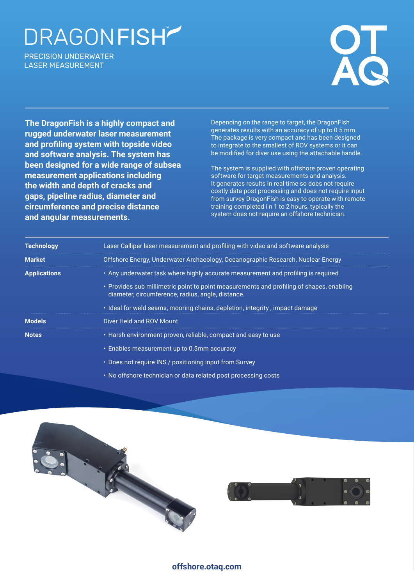## DRAGONFISH

PRECISION UNDERWATER LASER MEASUREMENT



**The DragonFish is a highly compact and rugged underwater laser measurement and profiling system with topside video and software analysis. The system has been designed for a wide range of subsea measurement applications including the width and depth of cracks and gaps, pipeline radius, diameter and circumference and precise distance and angular measurements.**

Depending on the range to target, the DragonFish generates results with an accuracy of up to 0 5 mm. The package is very compact and has been designed to integrate to the smallest of ROV systems or it can be modified for diver use using the attachable handle.

The system is supplied with offshore proven operating software for target measurements and analysis. It generates results in real time so does not require costly data post processing and does not require input from survey DragonFish is easy to operate with remote training completed i n 1 to 2 hours, typically the system does not require an offshore technician.

| <b>Technology</b>   | Laser Calliper laser measurement and profiling with video and software analysis                                                               |  |
|---------------------|-----------------------------------------------------------------------------------------------------------------------------------------------|--|
| <b>Market</b>       | Offshore Energy, Underwater Archaeology, Oceanographic Research, Nuclear Energy                                                               |  |
| <b>Applications</b> | . Any underwater task where highly accurate measurement and profiling is required                                                             |  |
|                     | • Provides sub millimetric point to point measurements and profiling of shapes, enabling<br>diameter, circumference, radius, angle, distance. |  |
|                     | • Ideal for weld seams, mooring chains, depletion, integrity, impact damage                                                                   |  |
| <b>Models</b>       | Diver Held and ROV Mount                                                                                                                      |  |
| <b>Notes</b>        | • Harsh environment proven, reliable, compact and easy to use                                                                                 |  |
|                     | • Enables measurement up to 0.5mm accuracy                                                                                                    |  |
|                     | • Does not require INS / positioning input from Survey                                                                                        |  |

• No offshore technician or data related post processing costs